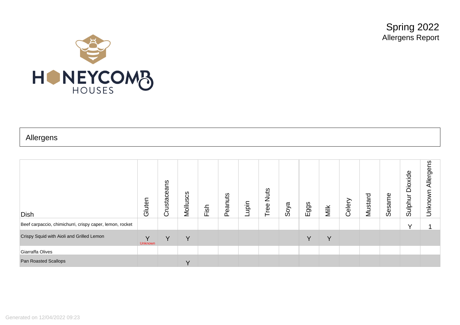Spring 2022 Allergens Report



## Allergens

| Dish                                                     | Gluten                         | Crustaceans | Molluscs | Fish | Peanuts | Lupin | <b>Nuts</b><br>Tree | Soya | Eggs         | Milk | Celery | Mustard | Φ<br>Sesame | Dioxide<br>Sulphur | Allergens<br>Unknown |
|----------------------------------------------------------|--------------------------------|-------------|----------|------|---------|-------|---------------------|------|--------------|------|--------|---------|-------------|--------------------|----------------------|
| Beef carpaccio, chimichurri, crispy caper, lemon, rocket |                                |             |          |      |         |       |                     |      |              |      |        |         |             | $\checkmark$       |                      |
| Crispy Squid with Aioli and Grilled Lemon                | $\checkmark$<br><b>Unknown</b> | Y           | Υ        |      |         |       |                     |      | $\checkmark$ | v    |        |         |             |                    |                      |
| Giarraffa Olives                                         |                                |             |          |      |         |       |                     |      |              |      |        |         |             |                    |                      |
| Pan Roasted Scallops                                     |                                |             | v        |      |         |       |                     |      |              |      |        |         |             |                    |                      |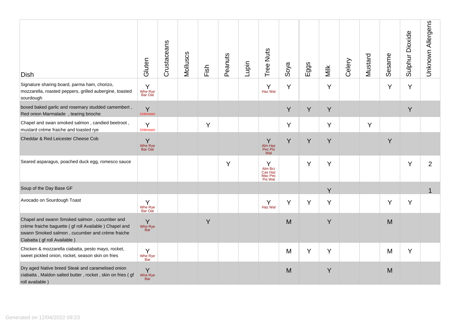| <b>Dish</b>                                                                                                                                                                                  | Gluten                     | Crustaceans | Molluscs | Fish | Peanuts | Lupin | Tree Nuts                                     | Soya | Eggs | Milk | Celery | Mustard | Sesame | Sulphur Dioxide | Unknown Allergens |
|----------------------------------------------------------------------------------------------------------------------------------------------------------------------------------------------|----------------------------|-------------|----------|------|---------|-------|-----------------------------------------------|------|------|------|--------|---------|--------|-----------------|-------------------|
| Signature sharing board, parma ham, chorizo,<br>mozzarella, roasted peppers, grilled aubergine, toasted<br>sourdough                                                                         | Y<br>Whe Rye<br>Bar Oat    |             |          |      |         |       | Y<br>Haz Wal                                  | Y    |      | Y    |        |         | Y      | Y               |                   |
| boxed baked garlic and rosemary studded camembert,<br>Red onion Marmalade, tearing brioche                                                                                                   | Y<br><b>Unknown</b>        |             |          |      |         |       |                                               | Y    | Y    | Y    |        |         |        | Y               |                   |
| Chapel and swan smoked salmon, candied beetroot,<br>mustard crème fraiche and toasted rye                                                                                                    | Y<br><b>Unknown</b>        |             |          | Y    |         |       |                                               | Y    |      | Y    |        | Y       |        |                 |                   |
| Cheddar & Red Leicester Cheese Cob                                                                                                                                                           | Y<br>Whe Rye<br>Bar Oat    |             |          |      |         |       | Y<br>Alm Haz<br>Pec Pis<br>Wal                | Y    | Y    | Y    |        |         | Y      |                 |                   |
| Seared asparagus, poached duck egg, romesco sauce                                                                                                                                            |                            |             |          |      | Y       |       | Y<br>Alm Brz<br>Cas Haz<br>Mac Pec<br>Pis Wal |      | Y    | Y    |        |         |        | Y               | $\overline{2}$    |
| Soup of the Day Base GF                                                                                                                                                                      |                            |             |          |      |         |       |                                               |      |      | Y    |        |         |        |                 | 1                 |
| Avocado on Sourdough Toast                                                                                                                                                                   | Y<br>Whe Rye<br>Bar Oat    |             |          |      |         |       | Y<br>Haz Wal                                  | Y    | Y    | Y    |        |         | Y      | Y               |                   |
| Chapel and swann Smoked salmon, cucumber and<br>crème fraiche baguette ( gf roll Available ) Chapel and<br>swann Smoked salmon, cucumber and crème fraiche<br>Ciabatta ( gf roll Available ) | Y<br>Whe Rye<br>Bar        |             |          | Y    |         |       |                                               | M    |      | Y    |        |         | M      |                 |                   |
| Chicken & mozzarella ciabatta, pesto mayo, rocket,<br>sweet pickled onion, rocket, season skin on fries                                                                                      | Y<br>Whe Rye<br>Bar        |             |          |      |         |       |                                               | M    | Y    | Y    |        |         | M      | Y               |                   |
| Dry aged Native breed Steak and caramelised onion<br>ciabatta, Maldon salted butter, rocket, skin on fries (gf<br>roll available)                                                            | Y<br>Whe Rye<br><b>Bar</b> |             |          |      |         |       |                                               | M    |      | Y    |        |         | M      |                 |                   |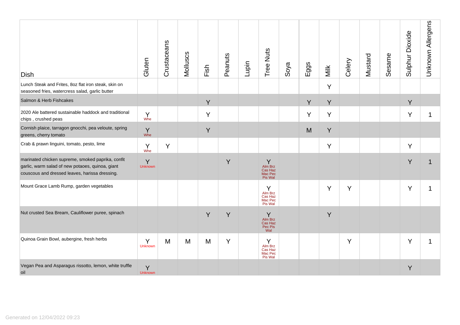| <b>Dish</b>                                                                                                                                             | Gluten                                        | Crustaceans | Molluscs | Fish | Peanuts | Lupin | Tree Nuts                                     | Soya | Eggs | Milk | Celery | Mustard | Sesame | Sulphur Dioxide | Unknown Allergens |
|---------------------------------------------------------------------------------------------------------------------------------------------------------|-----------------------------------------------|-------------|----------|------|---------|-------|-----------------------------------------------|------|------|------|--------|---------|--------|-----------------|-------------------|
| Lunch Steak and Frites, 8oz flat iron steak, skin on<br>seasoned fries, watercress salad, garlic butter                                                 |                                               |             |          |      |         |       |                                               |      |      | Υ    |        |         |        |                 |                   |
| Salmon & Herb Fishcakes                                                                                                                                 |                                               |             |          | Y    |         |       |                                               |      | Y    | Y    |        |         |        | Y               |                   |
| 2020 Ale battered sustainable haddock and traditional<br>chips, crushed peas                                                                            | $\begin{matrix} Y \\ \text{Whe} \end{matrix}$ |             |          | Y    |         |       |                                               |      | Y    | Υ    |        |         |        | Y               | 1                 |
| Cornish plaice, tarragon gnocchi, pea veloute, spring<br>greens, cherry tomato                                                                          | Y<br>Whe                                      |             |          | Y    |         |       |                                               |      | M    | Y    |        |         |        |                 |                   |
| Crab & prawn linguini, tomato, pesto, lime                                                                                                              | Y<br>Whe                                      | Y           |          |      |         |       |                                               |      |      | Y    |        |         |        | Y               |                   |
| marinated chicken supreme, smoked paprika, confit<br>garlic, warm salad of new potaoes, quinoa, giant<br>couscous and dressed leaves, harissa dressing. | Y<br><b>Unknown</b>                           |             |          |      | Y       |       | Y<br>Alm Brz<br>Cas Haz<br>Mac Pec<br>Pis Wal |      |      |      |        |         |        | Y               |                   |
| Mount Grace Lamb Rump, garden vegetables                                                                                                                |                                               |             |          |      |         |       | Y<br>Alm Brz<br>Cas Haz<br>Mac Pec<br>Pis Wal |      |      | Ý    | Y      |         |        | Y               | 1                 |
| Nut crusted Sea Bream, Cauliflower puree, spinach                                                                                                       |                                               |             |          | Y    | Y       |       | Y<br>Alm Brz<br>Cas Haz<br>Pec Pis<br>Wal     |      |      | Y    |        |         |        |                 |                   |
| Quinoa Grain Bowl, aubergine, fresh herbs                                                                                                               | Y<br><b>Unknown</b>                           | M           | M        | M    | Y       |       | Y<br>Alm Brz<br>Cas Haz<br>Mac Pec<br>Pis Wal |      |      |      | Y      |         |        | Y               |                   |
| Vegan Pea and Asparagus rissotto, lemon, white truffle<br>oil                                                                                           | Y<br><b>Unknown</b>                           |             |          |      |         |       |                                               |      |      |      |        |         |        | Y               |                   |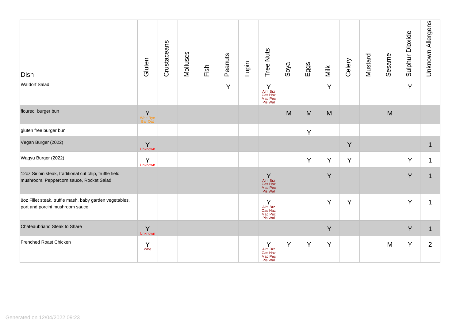| <b>Dish</b>                                                                                         | Gluten                        | Crustaceans | Molluscs | Fish | Peanuts | Lupin | Tree Nuts                                     | Soya | Eggs | Milk | Celery | Mustard | Sesame | Sulphur Dioxide | Unknown Allergens |
|-----------------------------------------------------------------------------------------------------|-------------------------------|-------------|----------|------|---------|-------|-----------------------------------------------|------|------|------|--------|---------|--------|-----------------|-------------------|
| <b>Waldorf Salad</b>                                                                                |                               |             |          |      | Y       |       | Y<br>Alm Brz<br>Cas Haz<br>Mac Pec<br>Pis Wal |      |      | Ÿ    |        |         |        | Y               |                   |
| floured burger bun                                                                                  | $\sf Y$<br>Whe Rye<br>Bar Oat |             |          |      |         |       |                                               | M    | M    | M    |        |         | M      |                 |                   |
| gluten free burger bun                                                                              |                               |             |          |      |         |       |                                               |      | Y    |      |        |         |        |                 |                   |
| Vegan Burger (2022)                                                                                 | Y<br>Unknown                  |             |          |      |         |       |                                               |      |      |      | Y      |         |        |                 |                   |
| Wagyu Burger (2022)                                                                                 | Y<br><b>Unknown</b>           |             |          |      |         |       |                                               |      | Y    | Υ    | Y      |         |        | Y               |                   |
| 12oz Sirloin steak, traditional cut chip, truffle field<br>mushroom, Peppercorn sauce, Rocket Salad |                               |             |          |      |         |       | Y<br>Alm Brz<br>Cas Haz<br>Mac Pec<br>Pis Wal |      |      | Y    |        |         |        | Y               |                   |
| 8oz Fillet steak, truffle mash, baby garden vegetables,<br>port and porcini mushroom sauce          |                               |             |          |      |         |       | Y<br>Alm Brz<br>Cas Haz<br>Mac Pec<br>Pis Wal |      |      | Y    | Y      |         |        | Y               |                   |
| Chateaubriand Steak to Share                                                                        | Y<br>Unknown                  |             |          |      |         |       |                                               |      |      | Y    |        |         |        | Y               | 1                 |
| Frenched Roast Chicken                                                                              | Y<br>Whe                      |             |          |      |         |       | Y<br>Alm Brz<br>Cas Haz<br>Mac Pec<br>Pis Wal | Y    | Y    | Y    |        |         | M      | Y               | $\overline{2}$    |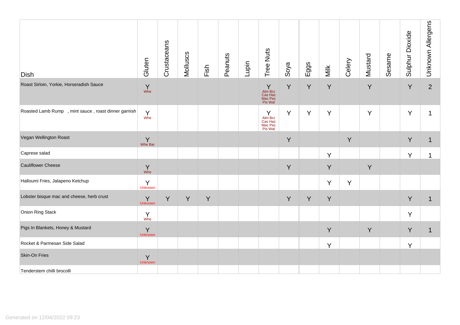| <b>Dish</b>                                          | Gluten                                        | Crustaceans | Molluscs | Fish | Peanuts | Lupin | Tree Nuts                                     | Soya | Eggs | Milk | Celery | Mustard | Sesame | Sulphur Dioxide | Unknown Allergens |
|------------------------------------------------------|-----------------------------------------------|-------------|----------|------|---------|-------|-----------------------------------------------|------|------|------|--------|---------|--------|-----------------|-------------------|
| Roast Sirloin, Yorkie, Horseradish Sauce             | $\begin{matrix} Y \\ \text{Whe} \end{matrix}$ |             |          |      |         |       | Y<br>Alm Brz<br>Cas Haz<br>Mac Pec<br>Pis Wal | Y    | Y    | Y    |        | Y       |        | Y               | $\overline{2}$    |
| Roasted Lamb Rump , mint sauce, roast dinner garnish | Y<br>Whe                                      |             |          |      |         |       | Y<br>Alm Brz<br>Cas Haz<br>Mac Pec<br>Pis Wal | Y    | Y    | Y    |        | Y       |        | Y               |                   |
| Vegan Wellington Roast                               | $\sum_{\text{Whe Bar}}$                       |             |          |      |         |       |                                               | Y    |      |      | Y      |         |        | Y               | $\mathbf{1}$      |
| Caprese salad                                        |                                               |             |          |      |         |       |                                               |      |      | Y    |        |         |        | Y               |                   |
| <b>Cauliflower Cheese</b>                            | $\Upsilon$<br>Whe                             |             |          |      |         |       |                                               | Y    |      | Y    |        | Y       |        |                 |                   |
| Halloumi Fries, Jalapeno Ketchup                     | Y<br><b>Unknown</b>                           |             |          |      |         |       |                                               |      |      | Y    | Y      |         |        |                 |                   |
| Lobster bisque mac and cheese, herb crust            | Y<br><b>Unknown</b>                           | Y           | Y        | Y    |         |       |                                               | Y    | Y    | Y    |        |         |        | Y               | $\mathbf{1}$      |
| Onion Ring Stack                                     | Y<br>Whe                                      |             |          |      |         |       |                                               |      |      |      |        |         |        | Y               |                   |
| Pigs In Blankets, Honey & Mustard                    | Y<br>Unknown                                  |             |          |      |         |       |                                               |      |      | Y    |        | Y       |        | Y               | $\mathbf 1$       |
| Rocket & Parmesan Side Salad                         |                                               |             |          |      |         |       |                                               |      |      | Y    |        |         |        | Y               |                   |
| Skin-On Fries                                        | Y<br>Unknown                                  |             |          |      |         |       |                                               |      |      |      |        |         |        |                 |                   |
| Tenderstem chilli brocolli                           |                                               |             |          |      |         |       |                                               |      |      |      |        |         |        |                 |                   |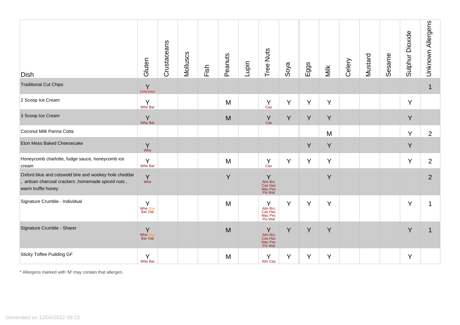| <b>Dish</b>                                                                                                                     | Gluten                         | Crustaceans | Molluscs | Fish | Peanuts | Lupin | Tree Nuts                                     | Soya | Eggs | Milk | Celery | Mustard | Sesame | Sulphur Dioxide | Unknown Allergens |
|---------------------------------------------------------------------------------------------------------------------------------|--------------------------------|-------------|----------|------|---------|-------|-----------------------------------------------|------|------|------|--------|---------|--------|-----------------|-------------------|
| <b>Traditional Cut Chips</b>                                                                                                    | Y<br>Unknown                   |             |          |      |         |       |                                               |      |      |      |        |         |        |                 | $\mathbf 1$       |
| 2 Scoop Ice Cream                                                                                                               | Y<br>Whe Bar                   |             |          |      | M       |       | Y<br>Cas                                      | Y    | Y    | Y    |        |         |        | Y               |                   |
| 3 Scoop Ice Cream                                                                                                               | Y<br>Whe Bar                   |             |          |      | M       |       | Y<br>Cas                                      | Y    | Y    | Y    |        |         |        | Y               |                   |
| Coconut Milk Panna Cotta                                                                                                        |                                |             |          |      |         |       |                                               |      |      | M    |        |         |        | Y               | $\overline{2}$    |
| Eton Mess Baked Cheesecake                                                                                                      | $Y$ whe                        |             |          |      |         |       |                                               |      | Y    | Y    |        |         |        | Y               |                   |
| Honeycomb charlotte, fudge sauce, honeycomb ice<br>cream                                                                        | Y<br>Whe Bar                   |             |          |      | M       |       | Y<br>Cas                                      | Y    | Y    | Y    |        |         |        | Y               | $\overline{2}$    |
| Oxford blue and cotswold brie and wookey hole cheddar<br>artisan charcoal crackers, homemade spiced nuts,<br>warm truffle honey | Y<br>Whe                       |             |          |      | Y       |       | Y<br>Alm Brz<br>Cas Haz<br>Mac Pec<br>Pis Wal |      |      | Y    |        |         |        |                 | $\overline{2}$    |
| Signature Crumble - Individual                                                                                                  | Y<br>Whe Rye<br><b>Bar Oat</b> |             |          |      | M       |       | Y<br>Alm Brz<br>Cas Haz<br>Mac Pec<br>Pis Wal | Y    | Y    | Y    |        |         |        | Y               |                   |
| Signature Crumble - Sharer                                                                                                      | Y<br>Whe Rye<br><b>Bar Oat</b> |             |          |      | M       |       | Y<br>Alm Brz<br>Cas Haz<br>Mac Pec<br>Pis Wal | Y    | Y    | Y    |        |         |        | Y               |                   |
| <b>Sticky Toffee Pudding GF</b>                                                                                                 | Y<br>Whe Bar                   |             |          |      | M       |       | Y<br>Alm Cas                                  | Y    | Y    | Y    |        |         |        | Y               |                   |

\* Allergens marked with 'M' may contain that allergen.